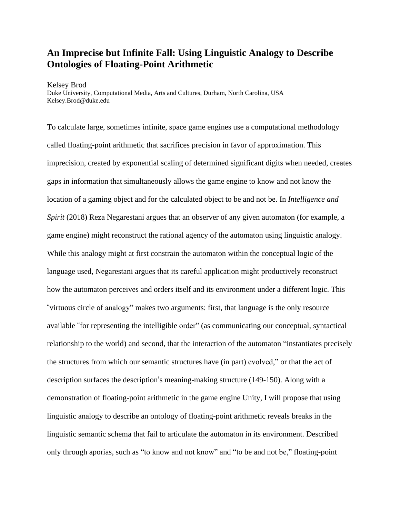## **An Imprecise but Infinite Fall: Using Linguistic Analogy to Describe Ontologies of Floating-Point Arithmetic**

Kelsey Brod Duke University, Computational Media, Arts and Cultures, Durham, North Carolina, USA Kelsey.Brod@duke.edu

To calculate large, sometimes infinite, space game engines use a computational methodology called floating-point arithmetic that sacrifices precision in favor of approximation. This imprecision, created by exponential scaling of determined significant digits when needed, creates gaps in information that simultaneously allows the game engine to know and not know the location of a gaming object and for the calculated object to be and not be. In *Intelligence and Spirit* (2018) Reza Negarestani argues that an observer of any given automaton (for example, a game engine) might reconstruct the rational agency of the automaton using linguistic analogy. While this analogy might at first constrain the automaton within the conceptual logic of the language used, Negarestani argues that its careful application might productively reconstruct how the automaton perceives and orders itself and its environment under a different logic. This "virtuous circle of analogy" makes two arguments: first, that language is the only resource available "for representing the intelligible order" (as communicating our conceptual, syntactical relationship to the world) and second, that the interaction of the automaton "instantiates precisely the structures from which our semantic structures have (in part) evolved," or that the act of description surfaces the description's meaning-making structure (149-150). Along with a demonstration of floating-point arithmetic in the game engine Unity, I will propose that using linguistic analogy to describe an ontology of floating-point arithmetic reveals breaks in the linguistic semantic schema that fail to articulate the automaton in its environment. Described only through aporias, such as "to know and not know" and "to be and not be," floating-point